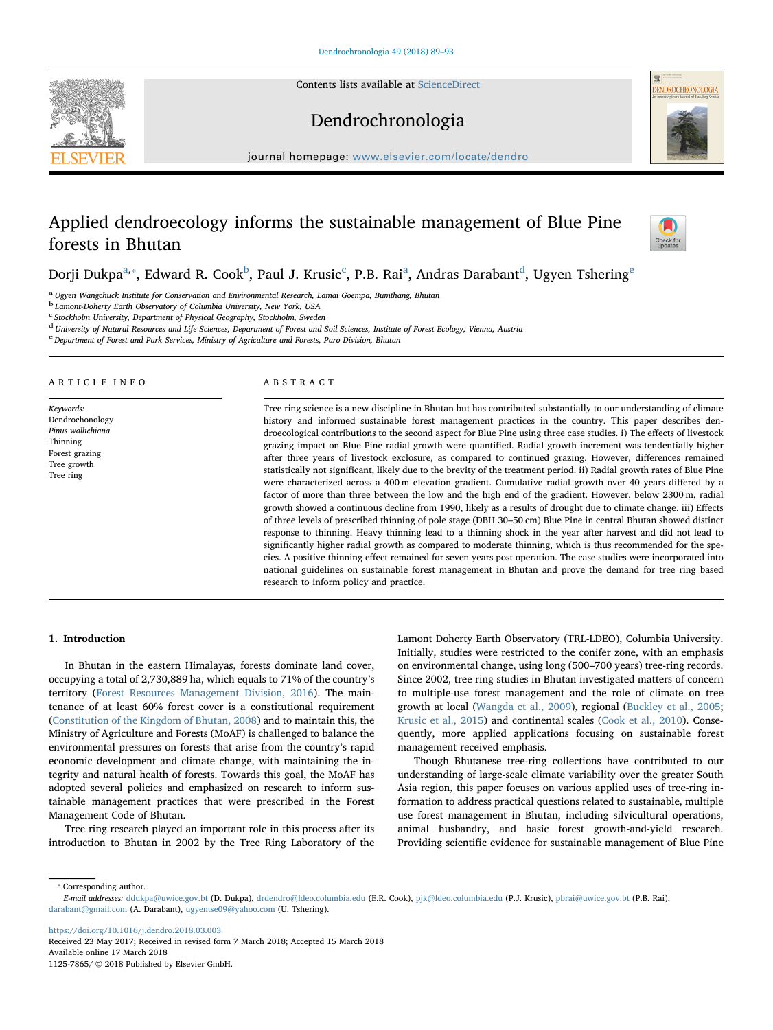Contents lists available at [ScienceDirect](http://www.sciencedirect.com/science/journal/11257865)





### Dendrochronologia

journal homepage: [www.elsevier.com/locate/dendro](https://www.elsevier.com/locate/dendro)

## Applied dendroecology informs the sustainable management of Blue Pine forests in Bhutan



Dorji Dukp[a](#page-0-0) $^\text{a, *},$  $^\text{a, *},$  $^\text{a, *},$  E[d](#page-0-4)ward R. Cook $^\text{b}$  $^\text{b}$  $^\text{b}$ , Paul J. Krusi[c](#page-0-3) $^\text{c}$ , P.B. Rai $^\text{a}$ , Andras Darabant $^\text{d}$ , Ugyen Tshering $^\text{e}$ 

<span id="page-0-0"></span><sup>a</sup> Ugyen Wangchuck Institute for Conservation and Environmental Research, Lamai Goempa, Bumthang, Bhutan

<span id="page-0-2"></span><sup>b</sup> Lamont-Doherty Earth Observatory of Columbia University, New York, USA

<span id="page-0-3"></span><sup>c</sup> Stockholm University, Department of Physical Geography, Stockholm, Sweden

<span id="page-0-4"></span><sup>d</sup> University of Natural Resources and Life Sciences, Department of Forest and Soil Sciences, Institute of Forest Ecology, Vienna, Austria

<span id="page-0-5"></span><sup>e</sup> Department of Forest and Park Services, Ministry of Agriculture and Forests, Paro Division, Bhutan

#### ARTICLE INFO

Keywords: Dendrochonology Pinus wallichiana Thinning Forest grazing Tree growth Tree ring

#### ABSTRACT

Tree ring science is a new discipline in Bhutan but has contributed substantially to our understanding of climate history and informed sustainable forest management practices in the country. This paper describes dendroecological contributions to the second aspect for Blue Pine using three case studies. i) The effects of livestock grazing impact on Blue Pine radial growth were quantified. Radial growth increment was tendentially higher after three years of livestock exclosure, as compared to continued grazing. However, differences remained statistically not significant, likely due to the brevity of the treatment period. ii) Radial growth rates of Blue Pine were characterized across a 400 m elevation gradient. Cumulative radial growth over 40 years differed by a factor of more than three between the low and the high end of the gradient. However, below 2300 m, radial growth showed a continuous decline from 1990, likely as a results of drought due to climate change. iii) Effects of three levels of prescribed thinning of pole stage (DBH 30–50 cm) Blue Pine in central Bhutan showed distinct response to thinning. Heavy thinning lead to a thinning shock in the year after harvest and did not lead to significantly higher radial growth as compared to moderate thinning, which is thus recommended for the species. A positive thinning effect remained for seven years post operation. The case studies were incorporated into national guidelines on sustainable forest management in Bhutan and prove the demand for tree ring based research to inform policy and practice.

#### 1. Introduction

In Bhutan in the eastern Himalayas, forests dominate land cover, occupying a total of 2,730,889 ha, which equals to 71% of the country's territory [\(Forest Resources Management Division, 2016\)](#page--1-0). The maintenance of at least 60% forest cover is a constitutional requirement ([Constitution of the Kingdom of Bhutan, 2008](#page--1-1)) and to maintain this, the Ministry of Agriculture and Forests (MoAF) is challenged to balance the environmental pressures on forests that arise from the country's rapid economic development and climate change, with maintaining the integrity and natural health of forests. Towards this goal, the MoAF has adopted several policies and emphasized on research to inform sustainable management practices that were prescribed in the Forest Management Code of Bhutan.

Tree ring research played an important role in this process after its introduction to Bhutan in 2002 by the Tree Ring Laboratory of the Lamont Doherty Earth Observatory (TRL-LDEO), Columbia University. Initially, studies were restricted to the conifer zone, with an emphasis on environmental change, using long (500–700 years) tree-ring records. Since 2002, tree ring studies in Bhutan investigated matters of concern to multiple-use forest management and the role of climate on tree growth at local [\(Wangda et al., 2009](#page--1-2)), regional [\(Buckley et al., 2005](#page--1-3); [Krusic et al., 2015\)](#page--1-4) and continental scales ([Cook et al., 2010\)](#page--1-5). Consequently, more applied applications focusing on sustainable forest management received emphasis.

Though Bhutanese tree-ring collections have contributed to our understanding of large-scale climate variability over the greater South Asia region, this paper focuses on various applied uses of tree-ring information to address practical questions related to sustainable, multiple use forest management in Bhutan, including silvicultural operations, animal husbandry, and basic forest growth-and-yield research. Providing scientific evidence for sustainable management of Blue Pine

<span id="page-0-1"></span>⁎ Corresponding author.

<https://doi.org/10.1016/j.dendro.2018.03.003>

Received 23 May 2017; Received in revised form 7 March 2018; Accepted 15 March 2018 Available online 17 March 2018 1125-7865/ © 2018 Published by Elsevier GmbH.

E-mail addresses: [ddukpa@uwice.gov.bt](mailto:ddukpa@uwice.gov.bt) (D. Dukpa), [drdendro@ldeo.columbia.edu](mailto:drdendro@ldeo.columbia.edu) (E.R. Cook), [pjk@ldeo.columbia.edu](mailto:pjk@ldeo.columbia.edu) (P.J. Krusic), [pbrai@uwice.gov.bt](mailto:pbrai@uwice.gov.bt) (P.B. Rai), [darabant@gmail.com](mailto:darabant@gmail.com) (A. Darabant), [ugyentse09@yahoo.com](mailto:ugyentse09@yahoo.com) (U. Tshering).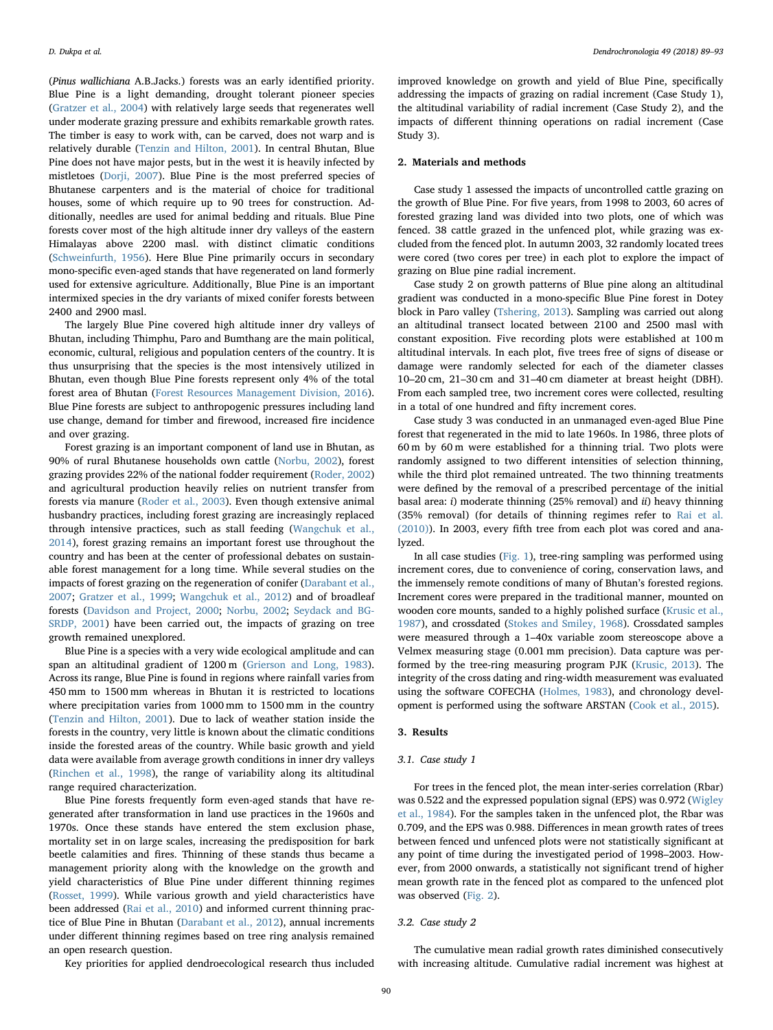(Pinus wallichiana A.B.Jacks.) forests was an early identified priority. Blue Pine is a light demanding, drought tolerant pioneer species ([Gratzer et al., 2004\)](#page--1-6) with relatively large seeds that regenerates well under moderate grazing pressure and exhibits remarkable growth rates. The timber is easy to work with, can be carved, does not warp and is relatively durable [\(Tenzin and Hilton, 2001](#page--1-7)). In central Bhutan, Blue Pine does not have major pests, but in the west it is heavily infected by mistletoes [\(Dorji, 2007](#page--1-8)). Blue Pine is the most preferred species of Bhutanese carpenters and is the material of choice for traditional houses, some of which require up to 90 trees for construction. Additionally, needles are used for animal bedding and rituals. Blue Pine forests cover most of the high altitude inner dry valleys of the eastern Himalayas above 2200 masl. with distinct climatic conditions ([Schweinfurth, 1956\)](#page--1-9). Here Blue Pine primarily occurs in secondary mono-specific even-aged stands that have regenerated on land formerly used for extensive agriculture. Additionally, Blue Pine is an important intermixed species in the dry variants of mixed conifer forests between 2400 and 2900 masl.

The largely Blue Pine covered high altitude inner dry valleys of Bhutan, including Thimphu, Paro and Bumthang are the main political, economic, cultural, religious and population centers of the country. It is thus unsurprising that the species is the most intensively utilized in Bhutan, even though Blue Pine forests represent only 4% of the total forest area of Bhutan ([Forest Resources Management Division, 2016](#page--1-0)). Blue Pine forests are subject to anthropogenic pressures including land use change, demand for timber and firewood, increased fire incidence and over grazing.

Forest grazing is an important component of land use in Bhutan, as 90% of rural Bhutanese households own cattle [\(Norbu, 2002](#page--1-10)), forest grazing provides 22% of the national fodder requirement [\(Roder, 2002\)](#page--1-11) and agricultural production heavily relies on nutrient transfer from forests via manure [\(Roder et al., 2003\)](#page--1-12). Even though extensive animal husbandry practices, including forest grazing are increasingly replaced through intensive practices, such as stall feeding ([Wangchuk et al.,](#page--1-13) [2014\)](#page--1-13), forest grazing remains an important forest use throughout the country and has been at the center of professional debates on sustainable forest management for a long time. While several studies on the impacts of forest grazing on the regeneration of conifer ([Darabant et al.,](#page--1-14) [2007;](#page--1-14) [Gratzer et al., 1999](#page--1-15); [Wangchuk et al., 2012\)](#page--1-16) and of broadleaf forests [\(Davidson and Project, 2000;](#page--1-17) [Norbu, 2002;](#page--1-10) [Seydack and BG-](#page--1-18)[SRDP, 2001](#page--1-18)) have been carried out, the impacts of grazing on tree growth remained unexplored.

Blue Pine is a species with a very wide ecological amplitude and can span an altitudinal gradient of 1200 m [\(Grierson and Long, 1983](#page--1-19)). Across its range, Blue Pine is found in regions where rainfall varies from 450 mm to 1500 mm whereas in Bhutan it is restricted to locations where precipitation varies from 1000 mm to 1500 mm in the country ([Tenzin and Hilton, 2001\)](#page--1-7). Due to lack of weather station inside the forests in the country, very little is known about the climatic conditions inside the forested areas of the country. While basic growth and yield data were available from average growth conditions in inner dry valleys ([Rinchen et al., 1998\)](#page--1-20), the range of variability along its altitudinal range required characterization.

Blue Pine forests frequently form even-aged stands that have regenerated after transformation in land use practices in the 1960s and 1970s. Once these stands have entered the stem exclusion phase, mortality set in on large scales, increasing the predisposition for bark beetle calamities and fires. Thinning of these stands thus became a management priority along with the knowledge on the growth and yield characteristics of Blue Pine under different thinning regimes ([Rosset, 1999](#page--1-21)). While various growth and yield characteristics have been addressed ([Rai et al., 2010](#page--1-22)) and informed current thinning practice of Blue Pine in Bhutan [\(Darabant et al., 2012](#page--1-23)), annual increments under different thinning regimes based on tree ring analysis remained an open research question.

Key priorities for applied dendroecological research thus included

improved knowledge on growth and yield of Blue Pine, specifically addressing the impacts of grazing on radial increment (Case Study 1), the altitudinal variability of radial increment (Case Study 2), and the impacts of different thinning operations on radial increment (Case Study 3).

#### 2. Materials and methods

Case study 1 assessed the impacts of uncontrolled cattle grazing on the growth of Blue Pine. For five years, from 1998 to 2003, 60 acres of forested grazing land was divided into two plots, one of which was fenced. 38 cattle grazed in the unfenced plot, while grazing was excluded from the fenced plot. In autumn 2003, 32 randomly located trees were cored (two cores per tree) in each plot to explore the impact of grazing on Blue pine radial increment.

Case study 2 on growth patterns of Blue pine along an altitudinal gradient was conducted in a mono-specific Blue Pine forest in Dotey block in Paro valley [\(Tshering, 2013\)](#page--1-24). Sampling was carried out along an altitudinal transect located between 2100 and 2500 masl with constant exposition. Five recording plots were established at 100 m altitudinal intervals. In each plot, five trees free of signs of disease or damage were randomly selected for each of the diameter classes 10–20 cm, 21–30 cm and 31–40 cm diameter at breast height (DBH). From each sampled tree, two increment cores were collected, resulting in a total of one hundred and fifty increment cores.

Case study 3 was conducted in an unmanaged even-aged Blue Pine forest that regenerated in the mid to late 1960s. In 1986, three plots of 60 m by 60 m were established for a thinning trial. Two plots were randomly assigned to two different intensities of selection thinning, while the third plot remained untreated. The two thinning treatments were defined by the removal of a prescribed percentage of the initial basal area: i) moderate thinning (25% removal) and ii) heavy thinning (35% removal) (for details of thinning regimes refer to [Rai et al.](#page--1-22) [\(2010\)\)](#page--1-22). In 2003, every fifth tree from each plot was cored and analyzed.

In all case studies ([Fig. 1\)](#page--1-25), tree-ring sampling was performed using increment cores, due to convenience of coring, conservation laws, and the immensely remote conditions of many of Bhutan's forested regions. Increment cores were prepared in the traditional manner, mounted on wooden core mounts, sanded to a highly polished surface ([Krusic et al.,](#page--1-26) [1987\)](#page--1-26), and crossdated ([Stokes and Smiley, 1968](#page--1-27)). Crossdated samples were measured through a 1–40x variable zoom stereoscope above a Velmex measuring stage (0.001 mm precision). Data capture was performed by the tree-ring measuring program PJK ([Krusic, 2013\)](#page--1-28). The integrity of the cross dating and ring-width measurement was evaluated using the software COFECHA ([Holmes, 1983\)](#page--1-29), and chronology development is performed using the software ARSTAN ([Cook et al., 2015](#page--1-30)).

#### 3. Results

#### 3.1. Case study 1

For trees in the fenced plot, the mean inter-series correlation (Rbar) was 0.522 and the expressed population signal (EPS) was 0.972 [\(Wigley](#page--1-31) [et al., 1984](#page--1-31)). For the samples taken in the unfenced plot, the Rbar was 0.709, and the EPS was 0.988. Differences in mean growth rates of trees between fenced und unfenced plots were not statistically significant at any point of time during the investigated period of 1998–2003. However, from 2000 onwards, a statistically not significant trend of higher mean growth rate in the fenced plot as compared to the unfenced plot was observed ([Fig. 2](#page--1-32)).

#### 3.2. Case study 2

The cumulative mean radial growth rates diminished consecutively with increasing altitude. Cumulative radial increment was highest at